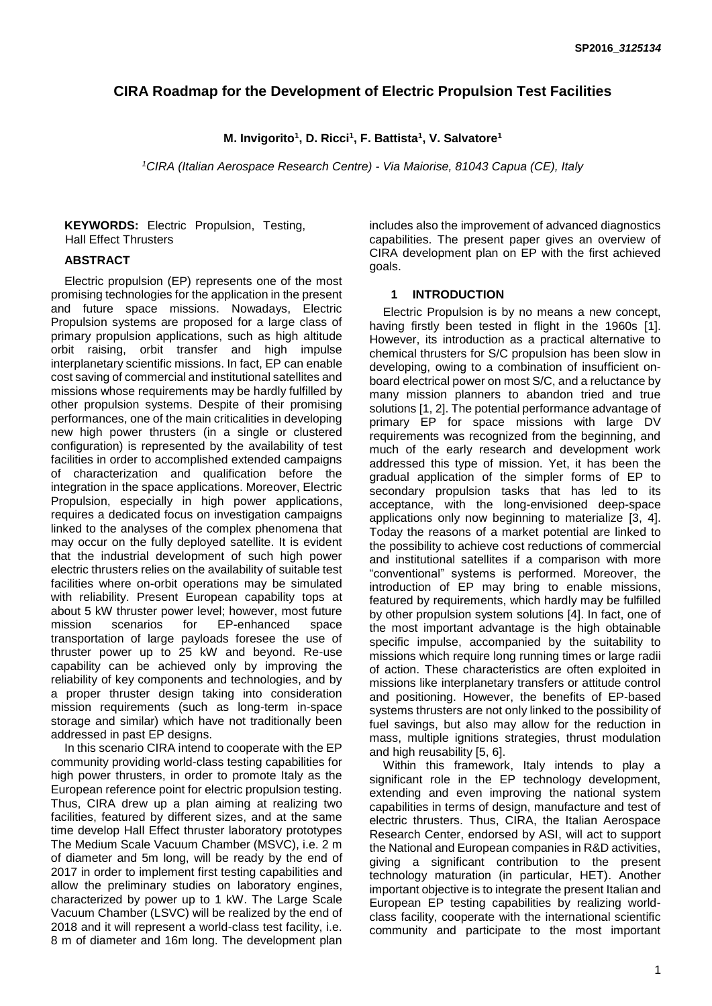# **CIRA Roadmap for the Development of Electric Propulsion Test Facilities**

# **M. Invigorito<sup>1</sup> , D. Ricci<sup>1</sup> , F. Battista<sup>1</sup> , V. Salvatore<sup>1</sup>**

*<sup>1</sup>CIRA (Italian Aerospace Research Centre) - Via Maiorise, 81043 Capua (CE), Italy* 

**KEYWORDS:** Electric Propulsion, Testing, Hall Effect Thrusters

# **ABSTRACT**

Electric propulsion (EP) represents one of the most promising technologies for the application in the present and future space missions. Nowadays, Electric Propulsion systems are proposed for a large class of primary propulsion applications, such as high altitude orbit raising, orbit transfer and high impulse interplanetary scientific missions. In fact, EP can enable cost saving of commercial and institutional satellites and missions whose requirements may be hardly fulfilled by other propulsion systems. Despite of their promising performances, one of the main criticalities in developing new high power thrusters (in a single or clustered configuration) is represented by the availability of test facilities in order to accomplished extended campaigns of characterization and qualification before the integration in the space applications. Moreover, Electric Propulsion, especially in high power applications, requires a dedicated focus on investigation campaigns linked to the analyses of the complex phenomena that may occur on the fully deployed satellite. It is evident that the industrial development of such high power electric thrusters relies on the availability of suitable test facilities where on-orbit operations may be simulated with reliability. Present European capability tops at about 5 kW thruster power level; however, most future mission scenarios for EP-enhanced space transportation of large payloads foresee the use of thruster power up to 25 kW and beyond. Re-use capability can be achieved only by improving the reliability of key components and technologies, and by a proper thruster design taking into consideration mission requirements (such as long-term in-space storage and similar) which have not traditionally been addressed in past EP designs.

In this scenario CIRA intend to cooperate with the EP community providing world-class testing capabilities for high power thrusters, in order to promote Italy as the European reference point for electric propulsion testing. Thus, CIRA drew up a plan aiming at realizing two facilities, featured by different sizes, and at the same time develop Hall Effect thruster laboratory prototypes The Medium Scale Vacuum Chamber (MSVC), i.e. 2 m of diameter and 5m long, will be ready by the end of 2017 in order to implement first testing capabilities and allow the preliminary studies on laboratory engines, characterized by power up to 1 kW. The Large Scale Vacuum Chamber (LSVC) will be realized by the end of 2018 and it will represent a world-class test facility, i.e. 8 m of diameter and 16m long. The development plan includes also the improvement of advanced diagnostics capabilities. The present paper gives an overview of CIRA development plan on EP with the first achieved goals.

### **1 INTRODUCTION**

Electric Propulsion is by no means a new concept, having firstly been tested in flight in the 1960s [\[1\]](#page-7-0). However, its introduction as a practical alternative to chemical thrusters for S/C propulsion has been slow in developing, owing to a combination of insufficient onboard electrical power on most S/C, and a reluctance by many mission planners to abandon tried and true solutions [\[1,](#page-7-0) [2\]](#page-7-1). The potential performance advantage of primary EP for space missions with large DV requirements was recognized from the beginning, and much of the early research and development work addressed this type of mission. Yet, it has been the gradual application of the simpler forms of EP to secondary propulsion tasks that has led to its acceptance, with the long-envisioned deep-space applications only now beginning to materialize [\[3,](#page-7-2) [4\]](#page-7-3). Today the reasons of a market potential are linked to the possibility to achieve cost reductions of commercial and institutional satellites if a comparison with more "conventional" systems is performed. Moreover, the introduction of EP may bring to enable missions, featured by requirements, which hardly may be fulfilled by other propulsion system solutions [\[4\]](#page-7-3). In fact, one of the most important advantage is the high obtainable specific impulse, accompanied by the suitability to missions which require long running times or large radii of action. These characteristics are often exploited in missions like interplanetary transfers or attitude control and positioning. However, the benefits of EP-based systems thrusters are not only linked to the possibility of fuel savings, but also may allow for the reduction in mass, multiple ignitions strategies, thrust modulation and high reusability [\[5,](#page-7-4) [6\]](#page-7-5).

Within this framework, Italy intends to play a significant role in the EP technology development, extending and even improving the national system capabilities in terms of design, manufacture and test of electric thrusters. Thus, CIRA, the Italian Aerospace Research Center, endorsed by ASI, will act to support the National and European companies in R&D activities, giving a significant contribution to the present technology maturation (in particular, HET). Another important objective is to integrate the present Italian and European EP testing capabilities by realizing worldclass facility, cooperate with the international scientific community and participate to the most important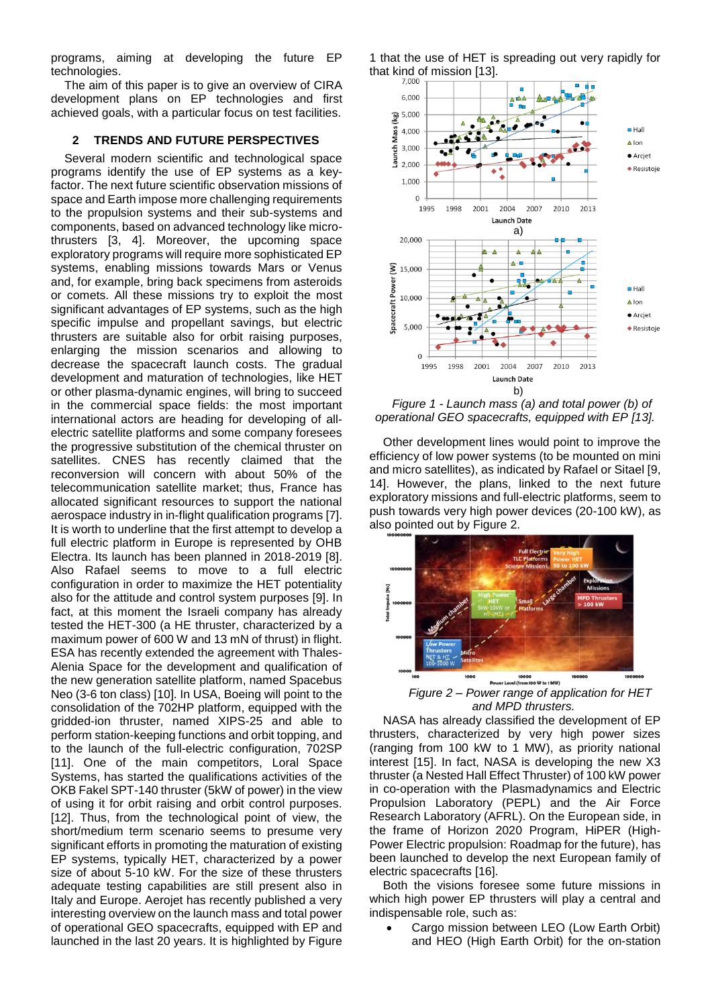programs, aiming at developing the future EP technologies.

The aim of this paper is to give an overview of CIRA development plans on EP technologies and first achieved goals, with a particular focus on test facilities.

#### **2 TRENDS AND FUTURE PERSPECTIVES**

Several modern scientific and technological space programs identify the use of EP systems as a keyfactor. The next future scientific observation missions of space and Earth impose more challenging requirements to the propulsion systems and their sub-systems and components, based on advanced technology like microthrusters [\[3,](#page-7-2) [4\]](#page-7-3). Moreover, the upcoming space exploratory programs will require more sophisticated EP systems, enabling missions towards Mars or Venus and, for example, bring back specimens from asteroids or comets. All these missions try to exploit the most significant advantages of EP systems, such as the high specific impulse and propellant savings, but electric thrusters are suitable also for orbit raising purposes, enlarging the mission scenarios and allowing to decrease the spacecraft launch costs. The gradual development and maturation of technologies, like HET or other plasma-dynamic engines, will bring to succeed in the commercial space fields: the most important international actors are heading for developing of allelectric satellite platforms and some company foresees the progressive substitution of the chemical thruster on satellites. CNES has recently claimed that the reconversion will concern with about 50% of the telecommunication satellite market; thus, France has allocated significant resources to support the national aerospace industry in in-flight qualification programs [\[7\]](#page-7-6). It is worth to underline that the first attempt to develop a full electric platform in Europe is represented by OHB Electra. Its launch has been planned in 2018-2019 [\[8\]](#page-7-7). Also Rafael seems to move to a full electric configuration in order to maximize the HET potentiality also for the attitude and control system purposes [\[9\]](#page-7-8). In fact, at this moment the Israeli company has already tested the HET-300 (a HE thruster, characterized by a maximum power of 600 W and 13 mN of thrust) in flight. ESA has recently extended the agreement with Thales-Alenia Space for the development and qualification of the new generation satellite platform, named Spacebus Neo (3-6 ton class) [\[10\]](#page-7-9). In USA, Boeing will point to the consolidation of the 702HP platform, equipped with the gridded-ion thruster, named XIPS-25 and able to perform station-keeping functions and orbit topping, and to the launch of the full-electric configuration, 702SP [\[11\]](#page-7-10). One of the main competitors, Loral Space Systems, has started the qualifications activities of the OKB Fakel SPT-140 thruster (5kW of power) in the view of using it for orbit raising and orbit control purposes. [\[12\]](#page-7-11). Thus, from the technological point of view, the short/medium term scenario seems to presume very significant efforts in promoting the maturation of existing EP systems, typically HET, characterized by a power size of about 5-10 kW. For the size of these thrusters adequate testing capabilities are still present also in Italy and Europe. Aerojet has recently published a very interesting overview on the launch mass and total power of operational GEO spacecrafts, equipped with EP and launched in the last 20 years. It is highlighted by [Figure](#page-1-0) 

[1](#page-1-0) that the use of HET is spreading out very rapidly for that kind of mission  $[13]$ .



<span id="page-1-0"></span>

Other development lines would point to improve the efficiency of low power systems (to be mounted on mini and micro satellites), as indicated by Rafael or Sitael [\[9,](#page-7-8) [14\]](#page-7-13). However, the plans, linked to the next future exploratory missions and full-electric platforms, seem to push towards very high power devices (20-100 kW), as also pointed out b[y Figure 2.](#page-1-1)



*Figure 2 – Power range of application for HET and MPD thrusters.*

<span id="page-1-1"></span>NASA has already classified the development of EP thrusters, characterized by very high power sizes (ranging from 100 kW to 1 MW), as priority national interest [\[15\]](#page-7-14). In fact, NASA is developing the new X3 thruster (a Nested Hall Effect Thruster) of 100 kW power in co-operation with the Plasmadynamics and Electric Propulsion Laboratory (PEPL) and the Air Force Research Laboratory (AFRL). On the European side, in the frame of Horizon 2020 Program, HiPER (High-Power Electric propulsion: Roadmap for the future), has been launched to develop the next European family of electric spacecrafts [\[16\]](#page-7-15).

Both the visions foresee some future missions in which high power EP thrusters will play a central and indispensable role, such as:

 Cargo mission between LEO (Low Earth Orbit) and HEO (High Earth Orbit) for the on-station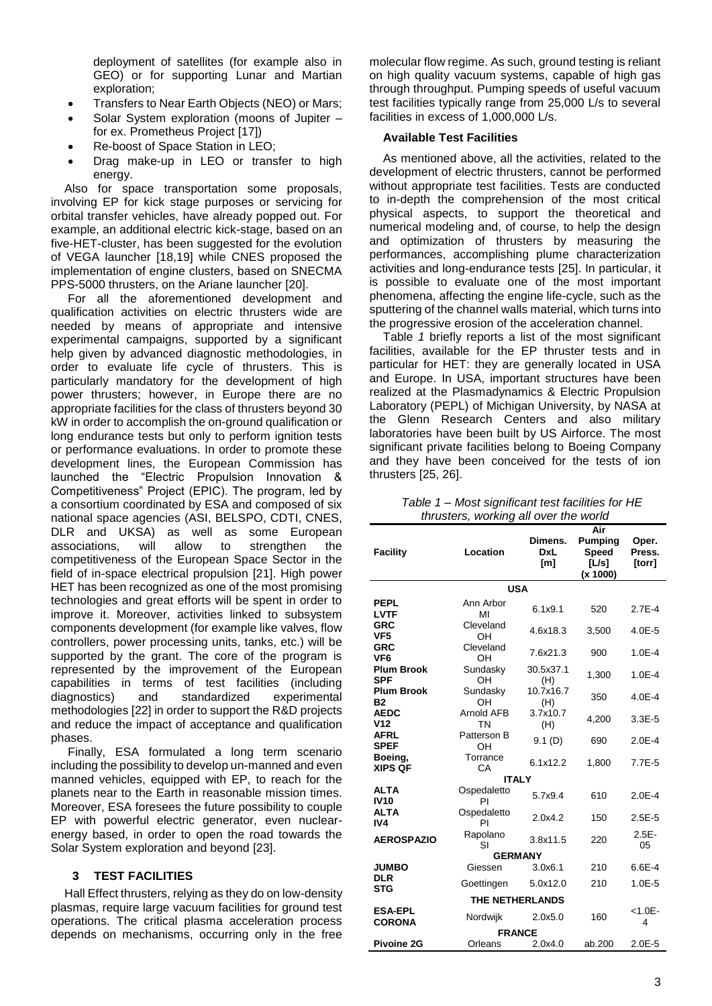deployment of satellites (for example also in GEO) or for supporting Lunar and Martian exploration;

- Transfers to Near Earth Objects (NEO) or Mars;
- Solar System exploration (moons of Jupiter for ex. Prometheus Project [\[17\]](#page-7-16))
- Re-boost of Space Station in LEO;
- Drag make-up in LEO or transfer to high energy.

Also for space transportation some proposals, involving EP for kick stage purposes or servicing for orbital transfer vehicles, have already popped out. For example, an additional electric kick-stage, based on an five-HET-cluster, has been suggested for the evolution of VEGA launcher [\[18](#page-7-17)[,19\]](#page-7-18) while CNES proposed the implementation of engine clusters, based on SNECMA PPS-5000 thrusters, on the Ariane launcher [\[20\]](#page-7-19).

For all the aforementioned development and qualification activities on electric thrusters wide are needed by means of appropriate and intensive experimental campaigns, supported by a significant help given by advanced diagnostic methodologies, in order to evaluate life cycle of thrusters. This is particularly mandatory for the development of high power thrusters; however, in Europe there are no appropriate facilities for the class of thrusters beyond 30 kW in order to accomplish the on-ground qualification or long endurance tests but only to perform ignition tests or performance evaluations. In order to promote these development lines, the European Commission has launched the "Electric Propulsion Innovation & Competitiveness" Project (EPIC). The program, led by a consortium coordinated by ESA and composed of six national space agencies (ASI, BELSPO, CDTI, CNES, DLR and UKSA) as well as some European associations, will allow to strengthen the competitiveness of the European Space Sector in the field of in-space electrical propulsion [\[21\]](#page-7-20). High power HET has been recognized as one of the most promising technologies and great efforts will be spent in order to improve it. Moreover, activities linked to subsystem components development (for example like valves, flow controllers, power processing units, tanks, etc.) will be supported by the grant. The core of the program is represented by the improvement of the European capabilities in terms of test facilities (including diagnostics) and standardized experimental methodologies [\[22\]](#page-7-21) in order to support the R&D projects and reduce the impact of acceptance and qualification phases.

Finally, ESA formulated a long term scenario including the possibility to develop un-manned and even manned vehicles, equipped with EP, to reach for the planets near to the Earth in reasonable mission times. Moreover, ESA foresees the future possibility to couple EP with powerful electric generator, even nuclearenergy based, in order to open the road towards the Solar System exploration and beyond [\[23\]](#page-7-22).

#### **3 TEST FACILITIES**

Hall Effect thrusters, relying as they do on low-density plasmas, require large vacuum facilities for ground test operations. The critical plasma acceleration process depends on mechanisms, occurring only in the free

molecular flow regime. As such, ground testing is reliant on high quality vacuum systems, capable of high gas through throughput. Pumping speeds of useful vacuum test facilities typically range from 25,000 L/s to several facilities in excess of 1,000,000 L/s.

### **Available Test Facilities**

As mentioned above, all the activities, related to the development of electric thrusters, cannot be performed without appropriate test facilities. Tests are conducted to in-depth the comprehension of the most critical physical aspects, to support the theoretical and numerical modeling and, of course, to help the design and optimization of thrusters by measuring the performances, accomplishing plume characterization activities and long-endurance tests [\[25\]](#page-7-23). In particular, it is possible to evaluate one of the most important phenomena, affecting the engine life-cycle, such as the sputtering of the channel walls material, which turns into the progressive erosion of the acceleration channel.

[Table](#page-2-0) *1* briefly reports a list of the most significant facilities, available for the EP thruster tests and in particular for HET: they are generally located in USA and Europe. In USA, important structures have been realized at the Plasmadynamics & Electric Propulsion Laboratory (PEPL) of Michigan University, by NASA at the Glenn Research Centers and also military laboratories have been built by US Airforce. The most significant private facilities belong to Boeing Company and they have been conceived for the tests of ion thrusters [\[25,](#page-7-23) [26\]](#page-7-24).

<span id="page-2-0"></span>*Table 1 – Most significant test facilities for HE thrusters, working all over the world*

| <b>Facility</b>                 | Location                | Dimens.<br>DxL<br>[m] | Air<br><b>Pumping</b><br><b>Speed</b><br>[L/s]<br>(x 1000) | Oper.<br>Press.<br><b>Itorr1</b> |  |  |  |
|---------------------------------|-------------------------|-----------------------|------------------------------------------------------------|----------------------------------|--|--|--|
| <b>USA</b>                      |                         |                       |                                                            |                                  |  |  |  |
| <b>PEPL</b><br><b>LVTF</b>      | Ann Arbor<br>MI         | 6.1x9.1               | 520                                                        | $2.7E-4$                         |  |  |  |
| <b>GRC</b><br>VF <sub>5</sub>   | Cleveland<br>OН         | 4.6x18.3              | 3,500                                                      | $4.0E - 5$                       |  |  |  |
| <b>GRC</b><br>VF <sub>6</sub>   | Cleveland<br>OH         | 7.6x21.3              | 900                                                        | $1.0E - 4$                       |  |  |  |
| <b>Plum Brook</b><br><b>SPF</b> | Sundasky<br>OH          | 30.5x37.1<br>(H)      | 1,300                                                      | $1.0E - 4$                       |  |  |  |
| <b>Plum Brook</b><br><b>B2</b>  | Sundasky<br>OH          | 10.7x16.7<br>(H)      | 350                                                        | $4.0E - 4$                       |  |  |  |
| <b>AEDC</b><br>V <sub>12</sub>  | Arnold AFB<br><b>TN</b> | 3.7x10.7<br>(H)       | 4,200                                                      | $3.3E - 5$                       |  |  |  |
| <b>AFRL</b><br><b>SPEF</b>      | Patterson B<br>OН       | 9.1(D)                | 690                                                        | $2.0E - 4$                       |  |  |  |
| Boeing,<br><b>XIPS QF</b>       | Torrance<br>CA          | 6.1x12.2              | 1,800                                                      | $7.7E-5$                         |  |  |  |
| <b>ITALY</b>                    |                         |                       |                                                            |                                  |  |  |  |
| <b>ALTA</b><br><b>IV10</b>      | Ospedaletto<br>PI       | 5.7x9.4               | 610                                                        | $2.0E - 4$                       |  |  |  |
| <b>ALTA</b><br>IV4              | Ospedaletto<br>PI       | 2.0x4.2               | 150                                                        | $2.5E - 5$                       |  |  |  |
| <b>AEROSPAZIO</b>               | Rapolano<br>SI          | 3.8x11.5              | 220                                                        | $2.5E -$<br>05                   |  |  |  |
| <b>GERMANY</b>                  |                         |                       |                                                            |                                  |  |  |  |
| <b>JUMBO</b>                    | Giessen                 | 3.0x6.1               | 210                                                        | $6.6E - 4$                       |  |  |  |
| <b>DLR</b><br><b>STG</b>        | Goettingen              | 5.0x12.0              | 210                                                        | $1.0E - 5$                       |  |  |  |
|                                 | THE NETHERLANDS         |                       |                                                            |                                  |  |  |  |
| <b>ESA-EPL</b><br><b>CORONA</b> | Nordwijk                | 2.0x5.0               | 160                                                        | $< 1.0E -$<br>4                  |  |  |  |
| <b>FRANCE</b>                   |                         |                       |                                                            |                                  |  |  |  |
| <b>Pivoine 2G</b>               | Orleans                 | 2.0x4.0               | ab.200                                                     | $2.0E - 5$                       |  |  |  |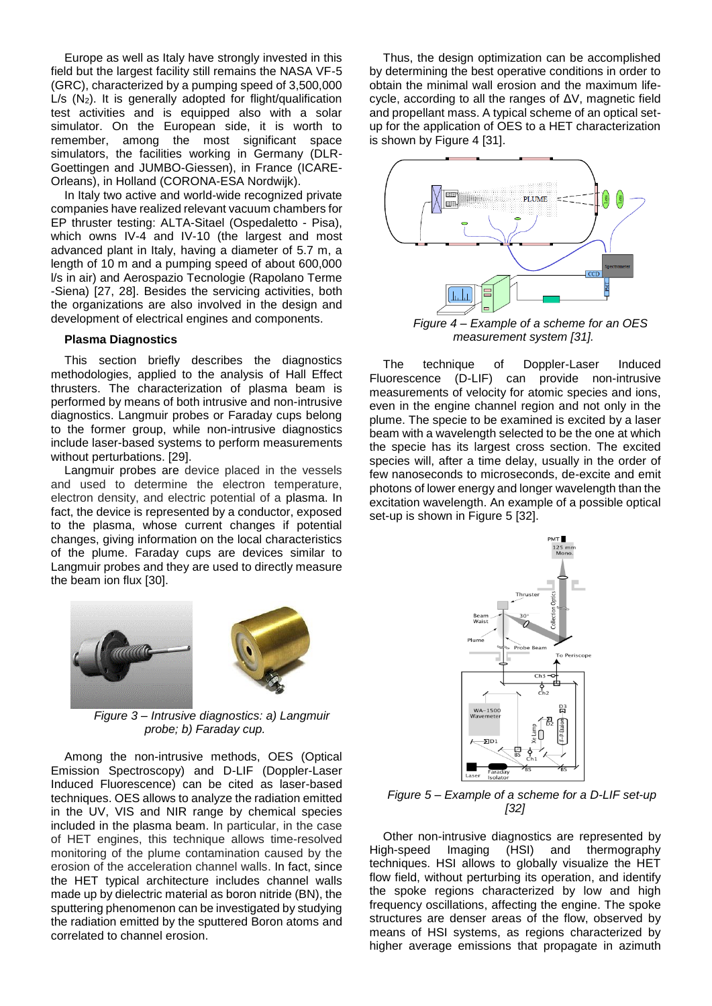Europe as well as Italy have strongly invested in this field but the largest facility still remains the NASA VF-5 (GRC), characterized by a pumping speed of 3,500,000  $L/s$  ( $N_2$ ). It is generally adopted for flight/qualification test activities and is equipped also with a solar simulator. On the European side, it is worth to remember, among the most significant space simulators, the facilities working in Germany (DLR-Goettingen and JUMBO-Giessen), in France (ICARE-Orleans), in Holland (CORONA-ESA Nordwijk).

In Italy two active and world-wide recognized private companies have realized relevant vacuum chambers for EP thruster testing: ALTA-Sitael (Ospedaletto - Pisa), which owns IV-4 and IV-10 (the largest and most advanced plant in Italy, having a diameter of 5.7 m, a length of 10 m and a pumping speed of about 600,000 l/s in air) and Aerospazio Tecnologie (Rapolano Terme -Siena) [\[27,](#page-7-25) [28\]](#page-7-26). Besides the servicing activities, both the organizations are also involved in the design and development of electrical engines and components.

#### **Plasma Diagnostics**

This section briefly describes the diagnostics methodologies, applied to the analysis of Hall Effect thrusters. The characterization of plasma beam is performed by means of both intrusive and non-intrusive diagnostics. Langmuir probes or Faraday cups belong to the former group, while non-intrusive diagnostics include laser-based systems to perform measurements without perturbations. [\[29\]](#page-7-27).

Langmuir probes are device placed in the vessels and used to determine the electron temperature, electron density, and electric potential of a plasma. In fact, the device is represented by a conductor, exposed to the plasma, whose current changes if potential changes, giving information on the local characteristics of the plume. Faraday cups are devices similar to Langmuir probes and they are used to directly measure the beam ion flux [\[30\]](#page-7-28).



*Figure 3 – Intrusive diagnostics: a) Langmuir probe; b) Faraday cup.*

Among the non-intrusive methods, OES (Optical Emission Spectroscopy) and D-LIF (Doppler-Laser Induced Fluorescence) can be cited as laser-based techniques. OES allows to analyze the radiation emitted in the UV, VIS and NIR range by chemical species included in the plasma beam. In particular, in the case of HET engines, this technique allows time-resolved monitoring of the plume contamination caused by the erosion of the acceleration channel walls. In fact, since the HET typical architecture includes channel walls made up by dielectric material as boron nitride (BN), the sputtering phenomenon can be investigated by studying the radiation emitted by the sputtered Boron atoms and correlated to channel erosion.

Thus, the design optimization can be accomplished by determining the best operative conditions in order to obtain the minimal wall erosion and the maximum lifecycle, according to all the ranges of ΔV, magnetic field and propellant mass. A typical scheme of an optical setup for the application of OES to a HET characterization is shown by [Figure 4](#page-3-0) [\[31\]](#page-7-29).



*Figure 4 – Example of a scheme for an OES measurement system [\[31\]](#page-7-29).*

<span id="page-3-0"></span>The technique of Doppler-Laser Induced Fluorescence (D-LIF) can provide non-intrusive measurements of velocity for atomic species and ions, even in the engine channel region and not only in the plume. The specie to be examined is excited by a laser beam with a wavelength selected to be the one at which the specie has its largest cross section. The excited species will, after a time delay, usually in the order of few nanoseconds to microseconds, de-excite and emit photons of lower energy and longer wavelength than the excitation wavelength. An example of a possible optical set-up is shown in [Figure 5](#page-3-1) [\[32\]](#page-7-30).



<span id="page-3-1"></span>*Figure 5 – Example of a scheme for a D-LIF set-up [\[32\]](#page-7-30)*

Other non-intrusive diagnostics are represented by High-speed Imaging (HSI) and thermography techniques. HSI allows to globally visualize the HET flow field, without perturbing its operation, and identify the spoke regions characterized by low and high frequency oscillations, affecting the engine. The spoke structures are denser areas of the flow, observed by means of HSI systems, as regions characterized by higher average emissions that propagate in azimuth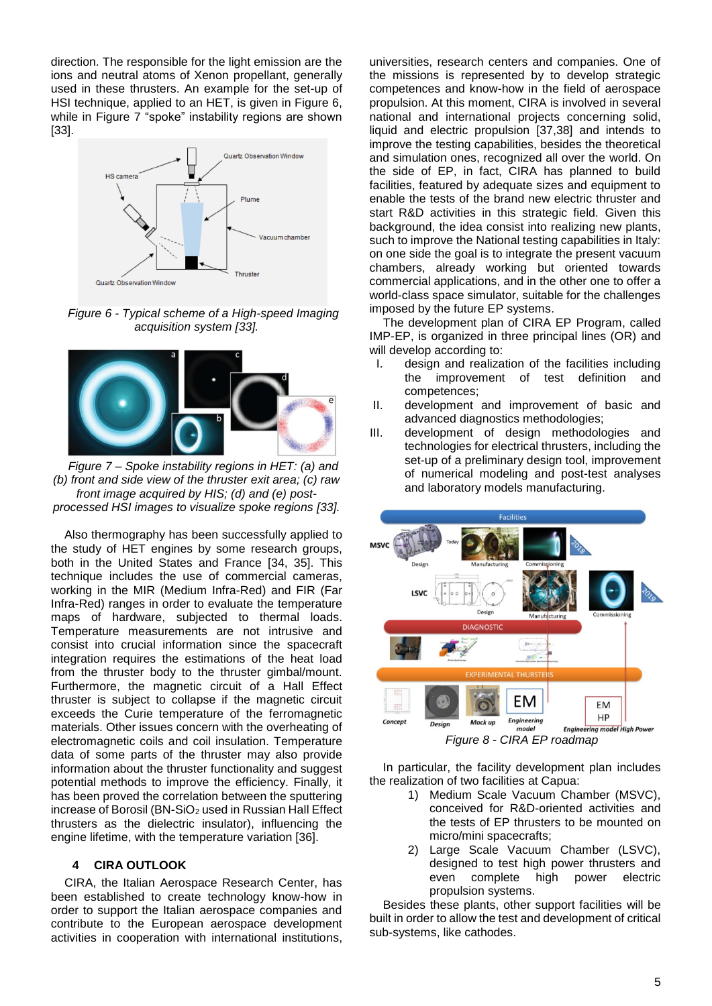direction. The responsible for the light emission are the ions and neutral atoms of Xenon propellant, generally used in these thrusters. An example for the set-up of HSI technique, applied to an HET, is given in [Figure 6,](#page-4-0) while in [Figure 7](#page-4-1) "spoke" instability regions are shown [\[33\]](#page-7-31).



<span id="page-4-0"></span>*Figure 6 - Typical scheme of a High-speed Imaging acquisition system [\[33\]](#page-7-31).*



<span id="page-4-1"></span>*Figure 7 – Spoke instability regions in HET: (a) and (b) front and side view of the thruster exit area; (c) raw front image acquired by HIS; (d) and (e) postprocessed HSI images to visualize spoke regions [\[33\]](#page-7-31).*

Also thermography has been successfully applied to the study of HET engines by some research groups, both in the United States and France [\[34,](#page-7-32) [35\]](#page-8-0). This technique includes the use of commercial cameras, working in the MIR (Medium Infra-Red) and FIR (Far Infra-Red) ranges in order to evaluate the temperature maps of hardware, subjected to thermal loads. Temperature measurements are not intrusive and consist into crucial information since the spacecraft integration requires the estimations of the heat load from the thruster body to the thruster gimbal/mount. Furthermore, the magnetic circuit of a Hall Effect thruster is subject to collapse if the magnetic circuit exceeds the Curie temperature of the ferromagnetic materials. Other issues concern with the overheating of electromagnetic coils and coil insulation. Temperature data of some parts of the thruster may also provide information about the thruster functionality and suggest potential methods to improve the efficiency. Finally, it has been proved the correlation between the sputtering increase of Borosil (BN-SiO<sub>2</sub> used in Russian Hall Effect thrusters as the dielectric insulator), influencing the engine lifetime, with the temperature variation [\[36\]](#page-8-1).

#### **4 CIRA OUTLOOK**

CIRA, the Italian Aerospace Research Center, has been established to create technology know-how in order to support the Italian aerospace companies and contribute to the European aerospace development activities in cooperation with international institutions,

universities, research centers and companies. One of the missions is represented by to develop strategic competences and know-how in the field of aerospace propulsion. At this moment, CIRA is involved in several national and international projects concerning solid, liquid and electric propulsion [\[37,](#page-8-2)[38\]](#page-8-3) and intends to improve the testing capabilities, besides the theoretical and simulation ones, recognized all over the world. On the side of EP, in fact, CIRA has planned to build facilities, featured by adequate sizes and equipment to enable the tests of the brand new electric thruster and start R&D activities in this strategic field. Given this background, the idea consist into realizing new plants, such to improve the National testing capabilities in Italy: on one side the goal is to integrate the present vacuum chambers, already working but oriented towards commercial applications, and in the other one to offer a world-class space simulator, suitable for the challenges imposed by the future EP systems.

The development plan of CIRA EP Program, called IMP-EP, is organized in three principal lines (OR) and will develop according to:

- I. design and realization of the facilities including the improvement of test definition and competences;
- II. development and improvement of basic and advanced diagnostics methodologies;
- III. development of design methodologies and technologies for electrical thrusters, including the set-up of a preliminary design tool, improvement of numerical modeling and post-test analyses and laboratory models manufacturing.



<span id="page-4-2"></span>In particular, the facility development plan includes the realization of two facilities at Capua:

- 1) Medium Scale Vacuum Chamber (MSVC), conceived for R&D-oriented activities and the tests of EP thrusters to be mounted on micro/mini spacecrafts;
- 2) Large Scale Vacuum Chamber (LSVC), designed to test high power thrusters and even complete high power electric propulsion systems.

Besides these plants, other support facilities will be built in order to allow the test and development of critical sub-systems, like cathodes.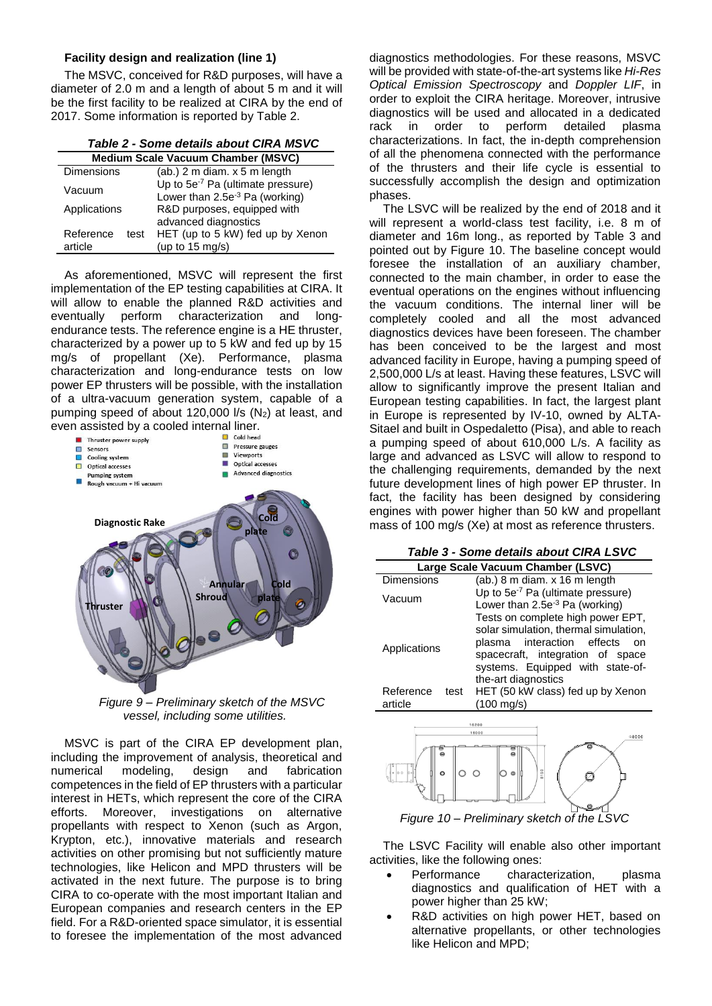### **Facility design and realization (line 1)**

The MSVC, conceived for R&D purposes, will have a diameter of 2.0 m and a length of about 5 m and it will be the first facility to be realized at CIRA by the end of 2017. Some information is reported by [Table 2.](#page-5-0)

<span id="page-5-0"></span>

| Table 2 - Some details about CIRA MSVC    |      |                                               |  |  |
|-------------------------------------------|------|-----------------------------------------------|--|--|
| <b>Medium Scale Vacuum Chamber (MSVC)</b> |      |                                               |  |  |
| <b>Dimensions</b>                         |      | (ab.) 2 m diam. x 5 m length                  |  |  |
| Vacuum                                    |      | Up to 5e <sup>-7</sup> Pa (ultimate pressure) |  |  |
|                                           |      | Lower than $2.5e^{-3}$ Pa (working)           |  |  |
| Applications                              |      | R&D purposes, equipped with                   |  |  |
|                                           |      | advanced diagnostics                          |  |  |
| Reference                                 | test | HET (up to 5 kW) fed up by Xenon              |  |  |
| article                                   |      | (up to 15 mg/s)                               |  |  |

As aforementioned, MSVC will represent the first implementation of the EP testing capabilities at CIRA. It will allow to enable the planned R&D activities and eventually perform characterization and longendurance tests. The reference engine is a HE thruster, characterized by a power up to 5 kW and fed up by 15 mg/s of propellant (Xe). Performance, plasma characterization and long-endurance tests on low power EP thrusters will be possible, with the installation of a ultra-vacuum generation system, capable of a pumping speed of about 120,000  $\sqrt{S(S)}$  at least, and even assisted by a cooled internal liner.



*Figure 9 – Preliminary sketch of the MSVC vessel, including some utilities.*

MSVC is part of the CIRA EP development plan, including the improvement of analysis, theoretical and numerical modeling, design and fabrication competences in the field of EP thrusters with a particular interest in HETs, which represent the core of the CIRA efforts. Moreover, investigations on alternative propellants with respect to Xenon (such as Argon, Krypton, etc.), innovative materials and research activities on other promising but not sufficiently mature technologies, like Helicon and MPD thrusters will be activated in the next future. The purpose is to bring CIRA to co-operate with the most important Italian and European companies and research centers in the EP field. For a R&D-oriented space simulator, it is essential to foresee the implementation of the most advanced

diagnostics methodologies. For these reasons, MSVC will be provided with state-of-the-art systems like *Hi-Res Optical Emission Spectroscopy* and *Doppler LIF*, in order to exploit the CIRA heritage. Moreover, intrusive diagnostics will be used and allocated in a dedicated rack in order to perform detailed plasma characterizations. In fact, the in-depth comprehension of all the phenomena connected with the performance of the thrusters and their life cycle is essential to successfully accomplish the design and optimization phases.

The LSVC will be realized by the end of 2018 and it will represent a world-class test facility, i.e. 8 m of diameter and 16m long., as reported by [Table 3](#page-5-1) and pointed out by [Figure 10.](#page-5-2) The baseline concept would foresee the installation of an auxiliary chamber, connected to the main chamber, in order to ease the eventual operations on the engines without influencing the vacuum conditions. The internal liner will be completely cooled and all the most advanced diagnostics devices have been foreseen. The chamber has been conceived to be the largest and most advanced facility in Europe, having a pumping speed of 2,500,000 L/s at least. Having these features, LSVC will allow to significantly improve the present Italian and European testing capabilities. In fact, the largest plant in Europe is represented by IV-10, owned by ALTA-Sitael and built in Ospedaletto (Pisa), and able to reach a pumping speed of about 610,000 L/s. A facility as large and advanced as LSVC will allow to respond to the challenging requirements, demanded by the next future development lines of high power EP thruster. In fact, the facility has been designed by considering engines with power higher than 50 kW and propellant mass of 100 mg/s (Xe) at most as reference thrusters.

|--|

<span id="page-5-1"></span>

| Large Scale Vacuum Chamber (LSVC) |                                                                               |  |  |  |
|-----------------------------------|-------------------------------------------------------------------------------|--|--|--|
| <b>Dimensions</b>                 | (ab.) 8 m diam. x 16 m length                                                 |  |  |  |
| Vacuum                            | Up to $5e^{-7}$ Pa (ultimate pressure)<br>Lower than $2.5e^{-3}$ Pa (working) |  |  |  |
|                                   | Tests on complete high power EPT,                                             |  |  |  |
|                                   | solar simulation, thermal simulation,                                         |  |  |  |
| Applications                      | plasma interaction effects<br>nn                                              |  |  |  |
|                                   | spacecraft, integration of space<br>systems. Equipped with state-of-          |  |  |  |
|                                   | the-art diagnostics                                                           |  |  |  |
| Reference<br>test                 | HET (50 kW class) fed up by Xenon                                             |  |  |  |
| article                           | $(100 \text{ mg/s})$                                                          |  |  |  |
|                                   | 16200                                                                         |  |  |  |



*Figure 10 – Preliminary sketch of the LSVC* 

<span id="page-5-2"></span>The LSVC Facility will enable also other important activities, like the following ones:

- Performance characterization, plasma diagnostics and qualification of HET with a power higher than 25 kW:
- R&D activities on high power HET, based on alternative propellants, or other technologies like Helicon and MPD;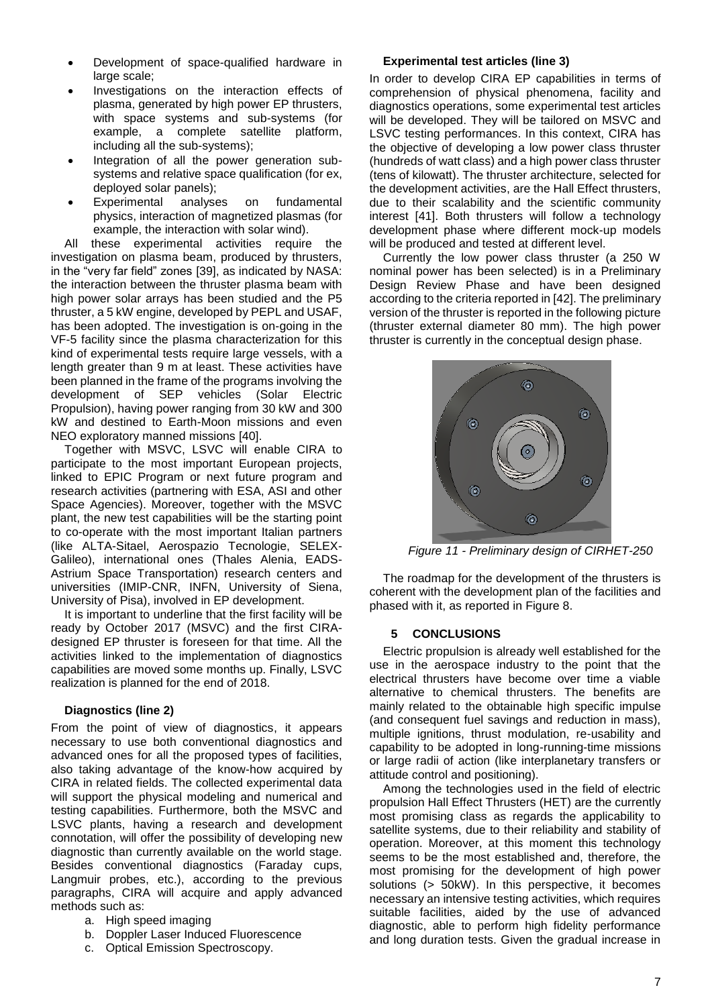- Development of space-qualified hardware in large scale:
- Investigations on the interaction effects of plasma, generated by high power EP thrusters, with space systems and sub-systems (for example, a complete satellite platform, including all the sub-systems);
- Integration of all the power generation subsystems and relative space qualification (for ex, deployed solar panels);
- Experimental analyses on fundamental physics, interaction of magnetized plasmas (for example, the interaction with solar wind).

All these experimental activities require the investigation on plasma beam, produced by thrusters, in the "very far field" zones [\[39\]](#page-8-4), as indicated by NASA: the interaction between the thruster plasma beam with high power solar arrays has been studied and the P5 thruster, a 5 kW engine, developed by PEPL and USAF, has been adopted. The investigation is on-going in the VF-5 facility since the plasma characterization for this kind of experimental tests require large vessels, with a length greater than 9 m at least. These activities have been planned in the frame of the programs involving the development of SEP vehicles (Solar Electric Propulsion), having power ranging from 30 kW and 300 kW and destined to Earth-Moon missions and even NEO exploratory manned missions [\[40\]](#page-8-5).

Together with MSVC, LSVC will enable CIRA to participate to the most important European projects, linked to EPIC Program or next future program and research activities (partnering with ESA, ASI and other Space Agencies). Moreover, together with the MSVC plant, the new test capabilities will be the starting point to co-operate with the most important Italian partners (like ALTA-Sitael, Aerospazio Tecnologie, SELEX-Galileo), international ones (Thales Alenia, EADS-Astrium Space Transportation) research centers and universities (IMIP-CNR, INFN, University of Siena, University of Pisa), involved in EP development.

It is important to underline that the first facility will be ready by October 2017 (MSVC) and the first CIRAdesigned EP thruster is foreseen for that time. All the activities linked to the implementation of diagnostics capabilities are moved some months up. Finally, LSVC realization is planned for the end of 2018.

# **Diagnostics (line 2)**

From the point of view of diagnostics, it appears necessary to use both conventional diagnostics and advanced ones for all the proposed types of facilities, also taking advantage of the know-how acquired by CIRA in related fields. The collected experimental data will support the physical modeling and numerical and testing capabilities. Furthermore, both the MSVC and LSVC plants, having a research and development connotation, will offer the possibility of developing new diagnostic than currently available on the world stage. Besides conventional diagnostics (Faraday cups, Langmuir probes, etc.), according to the previous paragraphs, CIRA will acquire and apply advanced methods such as:

- a. High speed imaging
- b. Doppler Laser Induced Fluorescence
- c. Optical Emission Spectroscopy.

#### **Experimental test articles (line 3)**

In order to develop CIRA EP capabilities in terms of comprehension of physical phenomena, facility and diagnostics operations, some experimental test articles will be developed. They will be tailored on MSVC and LSVC testing performances. In this context, CIRA has the objective of developing a low power class thruster (hundreds of watt class) and a high power class thruster (tens of kilowatt). The thruster architecture, selected for the development activities, are the Hall Effect thrusters, due to their scalability and the scientific community interest [\[41\]](#page-8-6). Both thrusters will follow a technology development phase where different mock-up models will be produced and tested at different level.

Currently the low power class thruster (a 250 W nominal power has been selected) is in a Preliminary Design Review Phase and have been designed according to the criteria reported in [\[42\]](#page-8-7). The preliminary version of the thruster is reported in the following picture (thruster external diameter 80 mm). The high power thruster is currently in the conceptual design phase.



*Figure 11 - Preliminary design of CIRHET-250* 

The roadmap for the development of the thrusters is coherent with the development plan of the facilities and phased with it, as reported in [Figure 8.](#page-4-2)

#### **5 CONCLUSIONS**

Electric propulsion is already well established for the use in the aerospace industry to the point that the electrical thrusters have become over time a viable alternative to chemical thrusters. The benefits are mainly related to the obtainable high specific impulse (and consequent fuel savings and reduction in mass), multiple ignitions, thrust modulation, re-usability and capability to be adopted in long-running-time missions or large radii of action (like interplanetary transfers or attitude control and positioning).

Among the technologies used in the field of electric propulsion Hall Effect Thrusters (HET) are the currently most promising class as regards the applicability to satellite systems, due to their reliability and stability of operation. Moreover, at this moment this technology seems to be the most established and, therefore, the most promising for the development of high power solutions (> 50kW). In this perspective, it becomes necessary an intensive testing activities, which requires suitable facilities, aided by the use of advanced diagnostic, able to perform high fidelity performance and long duration tests. Given the gradual increase in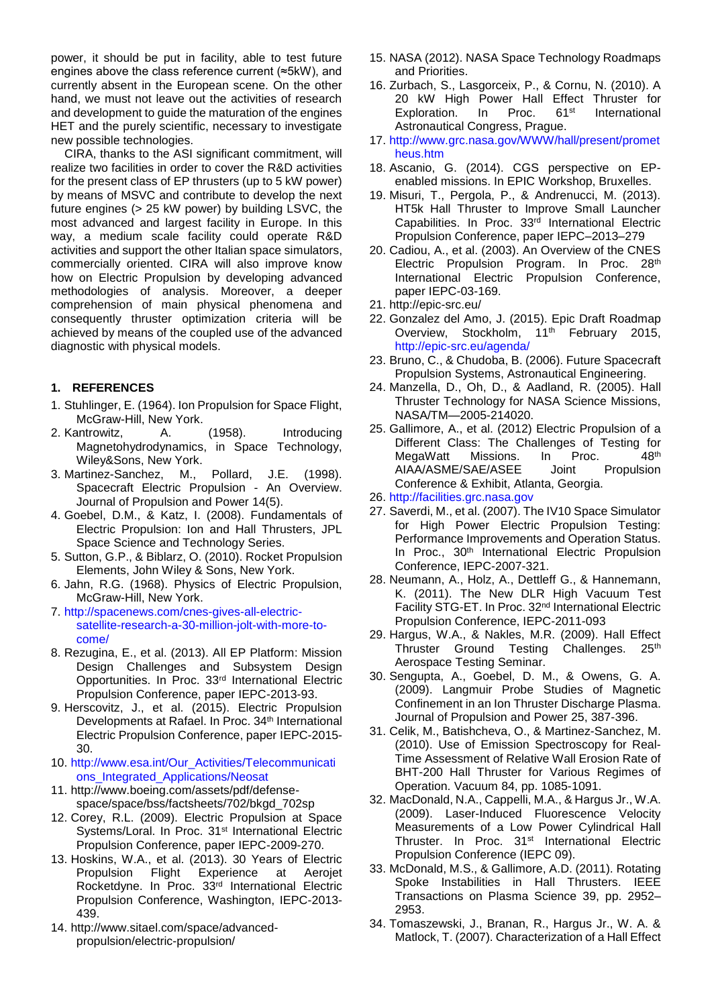power, it should be put in facility, able to test future engines above the class reference current (≈5kW), and currently absent in the European scene. On the other hand, we must not leave out the activities of research and development to guide the maturation of the engines HET and the purely scientific, necessary to investigate new possible technologies.

CIRA, thanks to the ASI significant commitment, will realize two facilities in order to cover the R&D activities for the present class of EP thrusters (up to 5 kW power) by means of MSVC and contribute to develop the next future engines (> 25 kW power) by building LSVC, the most advanced and largest facility in Europe. In this way, a medium scale facility could operate R&D activities and support the other Italian space simulators, commercially oriented. CIRA will also improve know how on Electric Propulsion by developing advanced methodologies of analysis. Moreover, a deeper comprehension of main physical phenomena and consequently thruster optimization criteria will be achieved by means of the coupled use of the advanced diagnostic with physical models.

### **1. REFERENCES**

- <span id="page-7-0"></span>1. Stuhlinger, E. (1964). Ion Propulsion for Space Flight, McGraw-Hill, New York.
- <span id="page-7-1"></span>2. Kantrowitz, A. (1958). Introducing Magnetohydrodynamics, in Space Technology, Wiley&Sons, New York.
- <span id="page-7-2"></span>3. Martinez-Sanchez, M., Pollard, J.E. (1998). Spacecraft Electric Propulsion - An Overview. Journal of Propulsion and Power 14(5).
- <span id="page-7-3"></span>4. Goebel, D.M., & Katz, I. (2008). Fundamentals of Electric Propulsion: Ion and Hall Thrusters, JPL Space Science and Technology Series.
- <span id="page-7-4"></span>5. Sutton, G.P., & Biblarz, O. (2010). Rocket Propulsion Elements, John Wiley & Sons, New York.
- <span id="page-7-5"></span>6. Jahn, R.G. (1968). Physics of Electric Propulsion, McGraw-Hill, New York.
- <span id="page-7-6"></span>7. [http://spacenews.com/cnes-gives-all-electric](http://spacenews.com/cnes-gives-all-electric-satellite-research-a-30-million-jolt-with-more-to-come/)[satellite-research-a-30-million-jolt-with-more-to](http://spacenews.com/cnes-gives-all-electric-satellite-research-a-30-million-jolt-with-more-to-come/)[come/](http://spacenews.com/cnes-gives-all-electric-satellite-research-a-30-million-jolt-with-more-to-come/)
- <span id="page-7-7"></span>8. Rezugina, E., et al. (2013). All EP Platform: Mission Design Challenges and Subsystem Design Opportunities. In Proc. 33rd International Electric Propulsion Conference, paper IEPC-2013-93.
- <span id="page-7-8"></span>9. Herscovitz, J., et al. (2015). Electric Propulsion Developments at Rafael. In Proc. 34<sup>th</sup> International Electric Propulsion Conference, paper IEPC-2015- 30.
- <span id="page-7-9"></span>10. [http://www.esa.int/Our\\_Activities/Telecommunicati](http://www.esa.int/Our_Activities/Telecommunications_Integrated_Applications/Neosat) [ons\\_Integrated\\_Applications/Neosat](http://www.esa.int/Our_Activities/Telecommunications_Integrated_Applications/Neosat)
- <span id="page-7-10"></span>11. http://www.boeing.com/assets/pdf/defensespace/space/bss/factsheets/702/bkgd\_702sp
- <span id="page-7-11"></span>12. Corey, R.L. (2009). Electric Propulsion at Space Systems/Loral. In Proc. 31<sup>st</sup> International Electric Propulsion Conference, paper IEPC-2009-270.
- <span id="page-7-12"></span>13. Hoskins, W.A., et al. (2013). 30 Years of Electric Propulsion Flight Experience at Aerojet Rocketdyne. In Proc. 33rd International Electric Propulsion Conference, Washington, IEPC-2013- 439.
- <span id="page-7-13"></span>14. http://www.sitael.com/space/advancedpropulsion/electric-propulsion/
- <span id="page-7-14"></span>15. NASA (2012). NASA Space Technology Roadmaps and Priorities.
- <span id="page-7-15"></span>16. Zurbach, S., Lasgorceix, P., & Cornu, N. (2010). A 20 kW High Power Hall Effect Thruster for<br>Exploration. In Proc. 61<sup>st</sup> International Exploration. In Proc. 61<sup>st</sup> International Astronautical Congress, Prague.
- <span id="page-7-16"></span>17. [http://www.grc.nasa.gov/WWW/hall/present/promet](http://www.grc.nasa.gov/WWW/hall/present/prometheus.htm) [heus.htm](http://www.grc.nasa.gov/WWW/hall/present/prometheus.htm)
- <span id="page-7-17"></span>18. Ascanio, G. (2014). CGS perspective on EPenabled missions. In EPIC Workshop, Bruxelles.
- <span id="page-7-18"></span>19. Misuri, T., Pergola, P., & Andrenucci, M. (2013). HT5k Hall Thruster to Improve Small Launcher Capabilities. In Proc. 33<sup>rd</sup> International Electric Propulsion Conference, paper IEPC–2013–279
- <span id="page-7-19"></span>20. Cadiou, A., et al. (2003). An Overview of the CNES Electric Propulsion Program. In Proc. 28th International Electric Propulsion Conference, paper IEPC-03-169.
- <span id="page-7-20"></span>21. http://epic-src.eu/
- <span id="page-7-21"></span>22. Gonzalez del Amo, J. (2015). Epic Draft Roadmap Overview, Stockholm, 11<sup>th</sup> February 2015, <http://epic-src.eu/agenda/>
- <span id="page-7-22"></span>23. Bruno, C., & Chudoba, B. (2006). Future Spacecraft Propulsion Systems, Astronautical Engineering.
- 24. Manzella, D., Oh, D., & Aadland, R. (2005). Hall Thruster Technology for NASA Science Missions, NASA/TM—2005-214020.
- <span id="page-7-23"></span>25. Gallimore, A., et al. (2012) Electric Propulsion of a Different Class: The Challenges of Testing for MegaWatt Missions. In Proc. 48<sup>th</sup> AIAA/ASME/SAE/ASEE Joint Propulsion Conference & Exhibit, Atlanta, Georgia.
- <span id="page-7-24"></span>26. [http://facilities.grc.nasa.gov](http://facilities.grc.nasa.gov/)
- <span id="page-7-25"></span>27. Saverdi, M., et al. (2007). The IV10 Space Simulator for High Power Electric Propulsion Testing: Performance Improvements and Operation Status. In Proc., 30<sup>th</sup> International Electric Propulsion Conference, IEPC-2007-321.
- <span id="page-7-26"></span>28. Neumann, A., Holz, A., Dettleff G., & Hannemann, K. (2011). The New DLR High Vacuum Test Facility STG-ET. In Proc. 32nd International Electric Propulsion Conference, IEPC-2011-093
- <span id="page-7-27"></span>29. Hargus, W.A., & Nakles, M.R. (2009). Hall Effect Thruster Ground Testing Challenges. 25<sup>th</sup> Aerospace Testing Seminar.
- <span id="page-7-28"></span>30. Sengupta, A., Goebel, D. M., & Owens, G. A. (2009). Langmuir Probe Studies of Magnetic Confinement in an Ion Thruster Discharge Plasma. Journal of Propulsion and Power 25, 387-396.
- <span id="page-7-29"></span>31. Celik, M., Batishcheva, O., & Martinez-Sanchez, M. (2010). Use of Emission Spectroscopy for Real-Time Assessment of Relative Wall Erosion Rate of BHT-200 Hall Thruster for Various Regimes of Operation. Vacuum 84, pp. 1085-1091.
- <span id="page-7-30"></span>32. MacDonald, N.A., Cappelli, M.A., & Hargus Jr., W.A. (2009). Laser-Induced Fluorescence Velocity Measurements of a Low Power Cylindrical Hall Thruster. In Proc. 31<sup>st</sup> International Electric Propulsion Conference (IEPC 09).
- <span id="page-7-31"></span>33. McDonald, M.S., & Gallimore, A.D. (2011). Rotating Spoke Instabilities in Hall Thrusters. IEEE Transactions on Plasma Science 39, pp. 2952– 2953.
- <span id="page-7-32"></span>34. Tomaszewski, J., Branan, R., Hargus Jr., W. A. & Matlock, T. (2007). Characterization of a Hall Effect